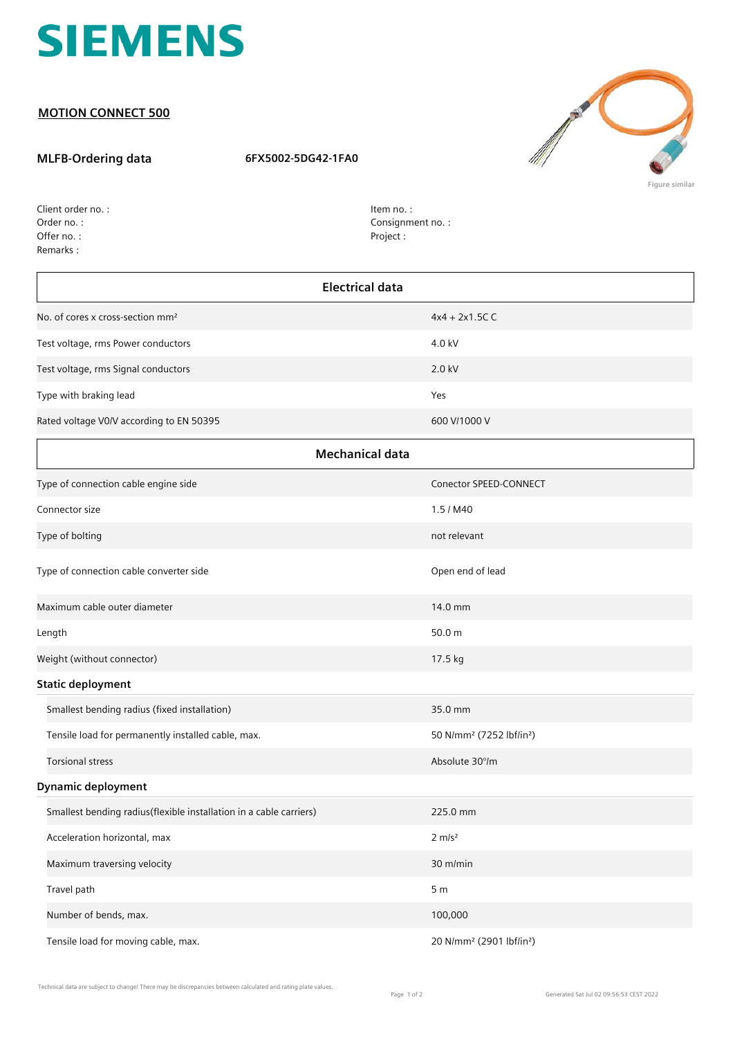

## **MOTION CONNECT 500**

## **MLFB-Ordering data 6FX5002-5DG42-1FA0**



Order no. : Offer no. : Client order no. : Remarks :

Item no. : Consignment no. : Project :

| <b>Electrical data</b>                                             |                                                  |  |
|--------------------------------------------------------------------|--------------------------------------------------|--|
| No. of cores x cross-section mm <sup>2</sup>                       | $4x4 + 2x1.5C C$                                 |  |
| Test voltage, rms Power conductors                                 | 4.0 kV                                           |  |
| Test voltage, rms Signal conductors                                | 2.0 kV                                           |  |
| Type with braking lead                                             | Yes                                              |  |
| Rated voltage V0/V according to EN 50395                           | 600 V/1000 V                                     |  |
|                                                                    | <b>Mechanical data</b>                           |  |
| Type of connection cable engine side                               | Conector SPEED-CONNECT                           |  |
| Connector size                                                     | 1.5 / M40                                        |  |
| Type of bolting                                                    | not relevant                                     |  |
| Type of connection cable converter side                            | Open end of lead                                 |  |
| Maximum cable outer diameter                                       | 14.0 mm                                          |  |
| Length                                                             | 50.0 m                                           |  |
| Weight (without connector)                                         | 17.5 kg                                          |  |
| <b>Static deployment</b>                                           |                                                  |  |
| Smallest bending radius (fixed installation)                       | 35.0 mm                                          |  |
| Tensile load for permanently installed cable, max.                 | 50 N/mm <sup>2</sup> (7252 lbf/in <sup>2</sup> ) |  |
| <b>Torsional stress</b>                                            | Absolute 30°/m                                   |  |
| <b>Dynamic deployment</b>                                          |                                                  |  |
| Smallest bending radius(flexible installation in a cable carriers) | 225.0 mm                                         |  |
| Acceleration horizontal, max                                       | $2 \, \text{m/s}^2$                              |  |
| Maximum traversing velocity                                        | 30 m/min                                         |  |
| Travel path                                                        | 5 <sub>m</sub>                                   |  |
| Number of bends, max.                                              | 100,000                                          |  |
| Tensile load for moving cable, max.                                | 20 N/mm <sup>2</sup> (2901 lbf/in <sup>2</sup> ) |  |